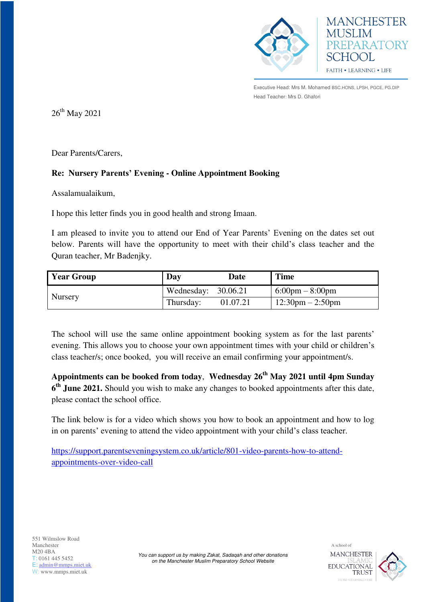



Executive Head: Mrs M. Mohamed BSC.HONS, LPSH, PGCE, PG.DIP Head Teacher: Mrs D. Ghafori

 $26^{\rm th}$  May 2021

Dear Parents/Carers,

## **Re: Nursery Parents' Evening - Online Appointment Booking**

Assalamualaikum,

I hope this letter finds you in good health and strong Imaan.

I am pleased to invite you to attend our End of Year Parents' Evening on the dates set out below. Parents will have the opportunity to meet with their child's class teacher and the Quran teacher, Mr Badenjky.

| <b>Year Group</b> | Day                   | <b>Date</b> | <b>Time</b>                        |
|-------------------|-----------------------|-------------|------------------------------------|
| Nursery           | Wednesday: $30.06.21$ |             | $6:00 \text{pm} - 8:00 \text{pm}$  |
|                   | Thursday:             | 01.07.21    | $12:30 \text{pm} - 2:50 \text{pm}$ |

The school will use the same online appointment booking system as for the last parents' evening. This allows you to choose your own appointment times with your child or children's class teacher/s; once booked, you will receive an email confirming your appointment/s.

**Appointments can be booked from today**, **Wednesday 26th May 2021 until 4pm Sunday 6 th June 2021.** Should you wish to make any changes to booked appointments after this date, please contact the school office.

The link below is for a video which shows you how to book an appointment and how to log in on parents' evening to attend the video appointment with your child's class teacher.

[https://support.parentseveningsystem.co.uk/article/801-video-parents-how-to-attend](https://support.parentseveningsystem.co.uk/article/801-video-parents-how-to-attend-appointments-over-video-call)[appointments-over-video-call](https://support.parentseveningsystem.co.uk/article/801-video-parents-how-to-attend-appointments-over-video-call)